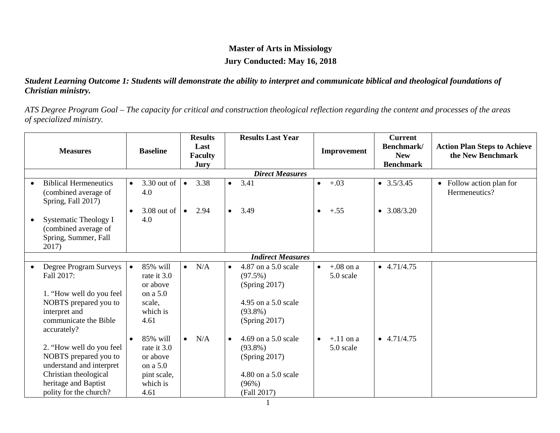## **Master of Arts in Missiology Jury Conducted: May 16, 2018**

#### *Student Learning Outcome 1: Students will demonstrate the ability to interpret and communicate biblical and theological foundations of Christian ministry.*

*ATS Degree Program Goal – The capacity for critical and construction theological reflection regarding the content and processes of the areas of specialized ministry.*

| <b>Measures</b>        |                                                                                                                                                          | <b>Baseline</b>                                                                                 | <b>Results</b><br>Last<br><b>Faculty</b><br>Jury | <b>Results Last Year</b>                                                                                              | Improvement                           | <b>Current</b><br>Benchmark/<br><b>New</b><br><b>Benchmark</b> | <b>Action Plan Steps to Achieve</b><br>the New Benchmark |  |  |  |  |
|------------------------|----------------------------------------------------------------------------------------------------------------------------------------------------------|-------------------------------------------------------------------------------------------------|--------------------------------------------------|-----------------------------------------------------------------------------------------------------------------------|---------------------------------------|----------------------------------------------------------------|----------------------------------------------------------|--|--|--|--|
| <b>Direct Measures</b> |                                                                                                                                                          |                                                                                                 |                                                  |                                                                                                                       |                                       |                                                                |                                                          |  |  |  |  |
|                        | <b>Biblical Hermeneutics</b><br>(combined average of<br>Spring, Fall 2017)                                                                               | 3.30 out of<br>$\bullet$<br>4.0                                                                 | 3.38<br>$\bullet$                                | 3.41<br>$\bullet$                                                                                                     | $+.03$<br>$\bullet$                   | $\bullet$ 3.5/3.45                                             | • Follow action plan for<br>Hermeneutics?                |  |  |  |  |
|                        | Systematic Theology I<br>(combined average of<br>Spring, Summer, Fall<br>2017)                                                                           | $3.08$ out of<br>$\bullet$<br>4.0                                                               | 2.94<br>$\bullet$                                | 3.49<br>$\bullet$                                                                                                     | $+.55$<br>$\bullet$                   | $\bullet$ 3.08/3.20                                            |                                                          |  |  |  |  |
|                        |                                                                                                                                                          |                                                                                                 |                                                  | <b>Indirect Measures</b>                                                                                              |                                       |                                                                |                                                          |  |  |  |  |
|                        | Degree Program Surveys<br>Fall 2017:<br>1. "How well do you feel<br>NOBTS prepared you to<br>interpret and<br>communicate the Bible<br>accurately?       | 85% will<br>$\bullet$<br>rate it 3.0<br>or above<br>on a 5.0<br>scale,<br>which is<br>4.61      | N/A<br>$\bullet$                                 | 4.87 on a 5.0 scale<br>$\bullet$<br>$(97.5\%)$<br>(Spring 2017)<br>4.95 on a 5.0 scale<br>$(93.8\%)$<br>(Spring 2017) | $+.08$ on a<br>$\bullet$<br>5.0 scale | $-4.71/4.75$                                                   |                                                          |  |  |  |  |
|                        | 2. "How well do you feel<br>NOBTS prepared you to<br>understand and interpret<br>Christian theological<br>heritage and Baptist<br>polity for the church? | 85% will<br>$\bullet$<br>rate it 3.0<br>or above<br>on a 5.0<br>pint scale,<br>which is<br>4.61 | N/A<br>$\bullet$                                 | 4.69 on a 5.0 scale<br>$\bullet$<br>$(93.8\%)$<br>(Spring 2017)<br>4.80 on a 5.0 scale<br>(96%)<br>(Fall 2017)        | $+.11$ on a<br>5.0 scale              | $\bullet$ 4.71/4.75                                            |                                                          |  |  |  |  |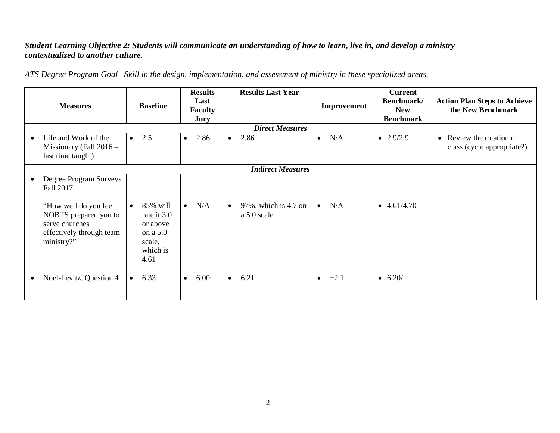#### *Student Learning Objective 2: Students will communicate an understanding of how to learn, live in, and develop a ministry contextualized to another culture.*

*ATS Degree Program Goal– Skill in the design, implementation, and assessment of ministry in these specialized areas.*

| <b>Measures</b>        |                                                                                                                                                    |           | <b>Results</b><br>Last<br><b>Baseline</b><br><b>Faculty</b><br><b>Jury</b>    |           |      | <b>Results Last Year</b> |                                     | Improvement | <b>Current</b><br>Benchmark/<br><b>New</b><br><b>Benchmark</b> | <b>Action Plan Steps to Achieve</b><br>the New Benchmark |                                                                   |  |  |
|------------------------|----------------------------------------------------------------------------------------------------------------------------------------------------|-----------|-------------------------------------------------------------------------------|-----------|------|--------------------------|-------------------------------------|-------------|----------------------------------------------------------------|----------------------------------------------------------|-------------------------------------------------------------------|--|--|
| <b>Direct Measures</b> |                                                                                                                                                    |           |                                                                               |           |      |                          |                                     |             |                                                                |                                                          |                                                                   |  |  |
| $\bullet$              | Life and Work of the<br>Missionary (Fall $2016 -$<br>last time taught)                                                                             | $\bullet$ | 2.5                                                                           | $\bullet$ | 2.86 | $\bullet$                | 2.86                                | $\bullet$   | N/A                                                            | $\bullet$ 2.9/2.9                                        | Review the rotation of<br>$\bullet$<br>class (cycle appropriate?) |  |  |
|                        | <b>Indirect Measures</b>                                                                                                                           |           |                                                                               |           |      |                          |                                     |             |                                                                |                                                          |                                                                   |  |  |
| $\bullet$              | Degree Program Surveys<br>Fall 2017:<br>"How well do you feel<br>NOBTS prepared you to<br>serve churches<br>effectively through team<br>ministry?" | $\bullet$ | 85% will<br>rate it 3.0<br>or above<br>on a 5.0<br>scale,<br>which is<br>4.61 | $\bullet$ | N/A  | $\bullet$                | 97%, which is 4.7 on<br>a 5.0 scale | $\bullet$   | N/A                                                            | $\bullet$ 4.61/4.70                                      |                                                                   |  |  |
|                        | Noel-Levitz, Question 4                                                                                                                            | $\bullet$ | 6.33                                                                          | $\bullet$ | 6.00 | $\bullet$                | 6.21                                | $\bullet$   | $+2.1$                                                         | $\bullet$ 6.20/                                          |                                                                   |  |  |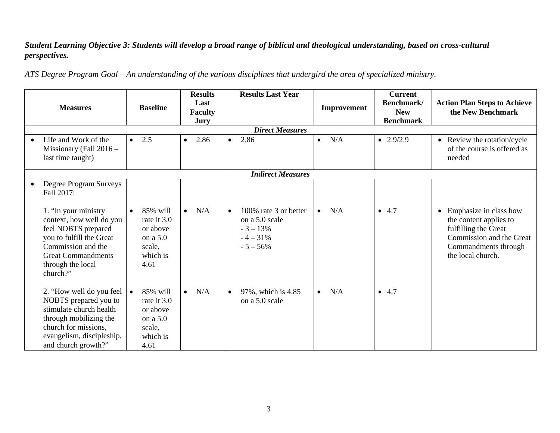### *Student Learning Objective 3: Students will develop a broad range of biblical and theological understanding, based on cross-cultural perspectives.*

*ATS Degree Program Goal – An understanding of the various disciplines that undergird the area of specialized ministry.*

| <b>Measures</b>                                                                                                                                                                                                                 | <b>Baseline</b>                                                                            | <b>Results</b><br>Last<br><b>Faculty</b><br>Jury | <b>Results Last Year</b>                                                                       | Improvement      | <b>Current</b><br>Benchmark/<br><b>New</b><br><b>Benchmark</b> | <b>Action Plan Steps to Achieve</b><br>the New Benchmark                                                                                                       |  |  |  |  |
|---------------------------------------------------------------------------------------------------------------------------------------------------------------------------------------------------------------------------------|--------------------------------------------------------------------------------------------|--------------------------------------------------|------------------------------------------------------------------------------------------------|------------------|----------------------------------------------------------------|----------------------------------------------------------------------------------------------------------------------------------------------------------------|--|--|--|--|
|                                                                                                                                                                                                                                 |                                                                                            |                                                  |                                                                                                |                  |                                                                |                                                                                                                                                                |  |  |  |  |
| Life and Work of the<br>Missionary (Fall $2016 -$<br>last time taught)                                                                                                                                                          | 2.5<br>$\bullet$                                                                           | 2.86<br>$\bullet$                                | 2.86<br>$\bullet$                                                                              | N/A<br>$\bullet$ | $\bullet$ 2.9/2.9                                              | • Review the rotation/cycle<br>of the course is offered as<br>needed                                                                                           |  |  |  |  |
| <b>Indirect Measures</b>                                                                                                                                                                                                        |                                                                                            |                                                  |                                                                                                |                  |                                                                |                                                                                                                                                                |  |  |  |  |
| Degree Program Surveys<br>Fall 2017:<br>1. "In your ministry<br>context, how well do you<br>feel NOBTS prepared<br>you to fulfill the Great<br>Commission and the<br><b>Great Commandments</b><br>through the local<br>church?" | 85% will<br>$\bullet$<br>rate it 3.0<br>or above<br>on a 5.0<br>scale,<br>which is<br>4.61 | N/A<br>$\bullet$                                 | 100% rate 3 or better<br>$\bullet$<br>on a 5.0 scale<br>$-3 - 13%$<br>$-4 - 31%$<br>$-5 - 56%$ | N/A<br>$\bullet$ | • 4.7                                                          | Emphasize in class how<br>$\bullet$<br>the content applies to<br>fulfilling the Great<br>Commission and the Great<br>Commandments through<br>the local church. |  |  |  |  |
| 2. "How well do you feel<br>NOBTS prepared you to<br>stimulate church health<br>through mobilizing the<br>church for missions,<br>evangelism, discipleship,<br>and church growth?"                                              | 85% will<br>$\bullet$<br>rate it 3.0<br>or above<br>on a 5.0<br>scale,<br>which is<br>4.61 | N/A<br>$\bullet$                                 | 97%, which is 4.85<br>$\bullet$<br>on a 5.0 scale                                              | N/A<br>$\bullet$ | • 4.7                                                          |                                                                                                                                                                |  |  |  |  |